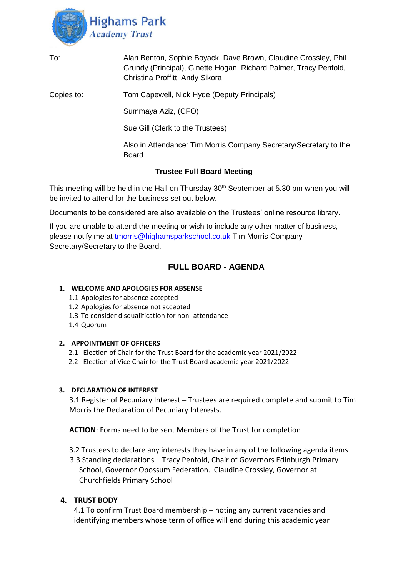

| To:        | Alan Benton, Sophie Boyack, Dave Brown, Claudine Crossley, Phil<br>Grundy (Principal), Ginette Hogan, Richard Palmer, Tracy Penfold,<br>Christina Proffitt, Andy Sikora |
|------------|-------------------------------------------------------------------------------------------------------------------------------------------------------------------------|
| Copies to: | Tom Capewell, Nick Hyde (Deputy Principals)                                                                                                                             |
|            | Summaya Aziz, (CFO)                                                                                                                                                     |
|            | Sue Gill (Clerk to the Trustees)                                                                                                                                        |
|            | Also in Attendance: Tim Morris Company Secretary/Secretary to the<br>Board                                                                                              |
|            | <b>Trustee Full Board Meeting</b>                                                                                                                                       |

This meeting will be held in the Hall on Thursday 30<sup>th</sup> September at 5.30 pm when you will be invited to attend for the business set out below.

Documents to be considered are also available on the Trustees' online resource library.

If you are unable to attend the meeting or wish to include any other matter of business, please notify me at [tmorris@highamsparkschool.co.uk](mailto:tmorris@highamsparkschool.co.uk) Tim Morris Company Secretary/Secretary to the Board.

# **FULL BOARD - AGENDA**

### **1. WELCOME AND APOLOGIES FOR ABSENSE**

- 1.1 Apologies for absence accepted
- 1.2 Apologies for absence not accepted
- 1.3 To consider disqualification for non- attendance
- 1.4 Quorum

#### **2. APPOINTMENT OF OFFICERS**

- 2.1 Election of Chair for the Trust Board for the academic year 2021/2022
- 2.2 Election of Vice Chair for the Trust Board academic year 2021/2022

# **3. DECLARATION OF INTEREST**

3.1 Register of Pecuniary Interest – Trustees are required complete and submit to Tim Morris the Declaration of Pecuniary Interests.

**ACTION**: Forms need to be sent Members of the Trust for completion

- 3.2 Trustees to declare any interests they have in any of the following agenda items
- 3.3 Standing declarations Tracy Penfold, Chair of Governors Edinburgh Primary School, Governor Opossum Federation. Claudine Crossley, Governor at Churchfields Primary School

# **4. TRUST BODY**

4.1 To confirm Trust Board membership – noting any current vacancies and identifying members whose term of office will end during this academic year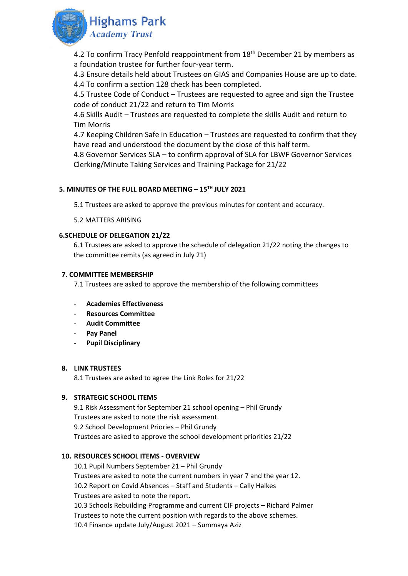

4.2 To confirm Tracy Penfold reappointment from 18<sup>th</sup> December 21 by members as a foundation trustee for further four-year term.

4.3 Ensure details held about Trustees on GIAS and Companies House are up to date. 4.4 To confirm a section 128 check has been completed.

4.5 Trustee Code of Conduct – Trustees are requested to agree and sign the Trustee code of conduct 21/22 and return to Tim Morris

4.6 Skills Audit – Trustees are requested to complete the skills Audit and return to Tim Morris

4.7 Keeping Children Safe in Education – Trustees are requested to confirm that they have read and understood the document by the close of this half term.

4.8 Governor Services SLA – to confirm approval of SLA for LBWF Governor Services Clerking/Minute Taking Services and Training Package for 21/22

# **5. MINUTES OF THE FULL BOARD MEETING – 15TH JULY 2021**

5.1 Trustees are asked to approve the previous minutes for content and accuracy.

### 5.2 MATTERS ARISING

### **6.SCHEDULE OF DELEGATION 21/22**

6.1 Trustees are asked to approve the schedule of delegation 21/22 noting the changes to the committee remits (as agreed in July 21)

### **7. COMMITTEE MEMBERSHIP**

7.1 Trustees are asked to approve the membership of the following committees

- **Academies Effectiveness**
- **Resources Committee**
- **Audit Committee**
- **Pay Panel**
- **Pupil Disciplinary**

#### **8. LINK TRUSTEES**

8.1 Trustees are asked to agree the Link Roles for 21/22

# **9. STRATEGIC SCHOOL ITEMS**

9.1 Risk Assessment for September 21 school opening – Phil Grundy Trustees are asked to note the risk assessment. 9.2 School Development Priories – Phil Grundy Trustees are asked to approve the school development priorities 21/22

# **10. RESOURCES SCHOOL ITEMS - OVERVIEW**

10.1 Pupil Numbers September 21 – Phil Grundy Trustees are asked to note the current numbers in year 7 and the year 12. 10.2 Report on Covid Absences – Staff and Students – Cally Halkes Trustees are asked to note the report. 10.3 Schools Rebuilding Programme and current CIF projects – Richard Palmer Trustees to note the current position with regards to the above schemes. 10.4 Finance update July/August 2021 – Summaya Aziz